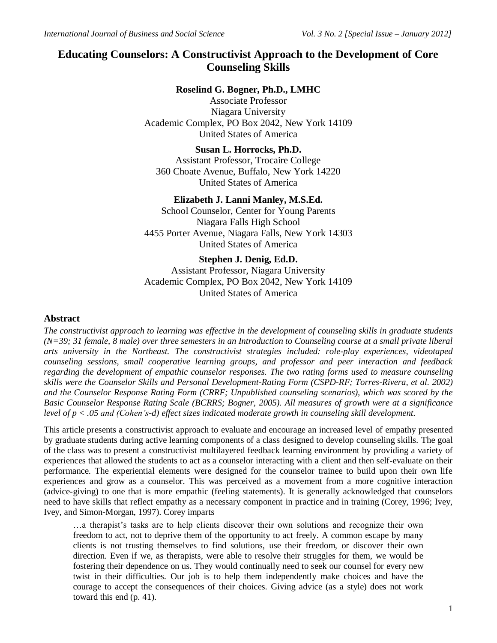# **Educating Counselors: A Constructivist Approach to the Development of Core Counseling Skills**

### **Roselind G. Bogner, Ph.D., LMHC**

Associate Professor Niagara University Academic Complex, PO Box 2042, New York 14109 United States of America

**Susan L. Horrocks, Ph.D.** Assistant Professor, Trocaire College 360 Choate Avenue, Buffalo, New York 14220 United States of America

### **Elizabeth J. Lanni Manley, M.S.Ed.**

School Counselor, Center for Young Parents Niagara Falls High School 4455 Porter Avenue, Niagara Falls, New York 14303 United States of America

### **Stephen J. Denig, Ed.D.**

Assistant Professor, Niagara University Academic Complex, PO Box 2042, New York 14109 United States of America

### **Abstract**

*The constructivist approach to learning was effective in the development of counseling skills in graduate students (N=39; 31 female, 8 male) over three semesters in an Introduction to Counseling course at a small private liberal arts university in the Northeast. The constructivist strategies included: role-play experiences, videotaped counseling sessions, small cooperative learning groups, and professor and peer interaction and feedback regarding the development of empathic counselor responses. The two rating forms used to measure counseling skills were the Counselor Skills and Personal Development-Rating Form (CSPD-RF; Torres-Rivera, et al. 2002) and the Counselor Response Rating Form (CRRF; Unpublished counseling scenarios), which was scored by the Basic Counselor Response Rating Scale (BCRRS; Bogner, 2005). All measures of growth were at a significance level of p < .05 and (Cohen's-d) effect sizes indicated moderate growth in counseling skill development.*

This article presents a constructivist approach to evaluate and encourage an increased level of empathy presented by graduate students during active learning components of a class designed to develop counseling skills. The goal of the class was to present a constructivist multilayered feedback learning environment by providing a variety of experiences that allowed the students to act as a counselor interacting with a client and then self-evaluate on their performance. The experiential elements were designed for the counselor trainee to build upon their own life experiences and grow as a counselor. This was perceived as a movement from a more cognitive interaction (advice-giving) to one that is more empathic (feeling statements). It is generally acknowledged that counselors need to have skills that reflect empathy as a necessary component in practice and in training (Corey, 1996; Ivey, Ivey, and Simon-Morgan, 1997). Corey imparts

…a therapist's tasks are to help clients discover their own solutions and recognize their own freedom to act, not to deprive them of the opportunity to act freely. A common escape by many clients is not trusting themselves to find solutions, use their freedom, or discover their own direction. Even if we, as therapists, were able to resolve their struggles for them, we would be fostering their dependence on us. They would continually need to seek our counsel for every new twist in their difficulties. Our job is to help them independently make choices and have the courage to accept the consequences of their choices. Giving advice (as a style) does not work toward this end (p. 41).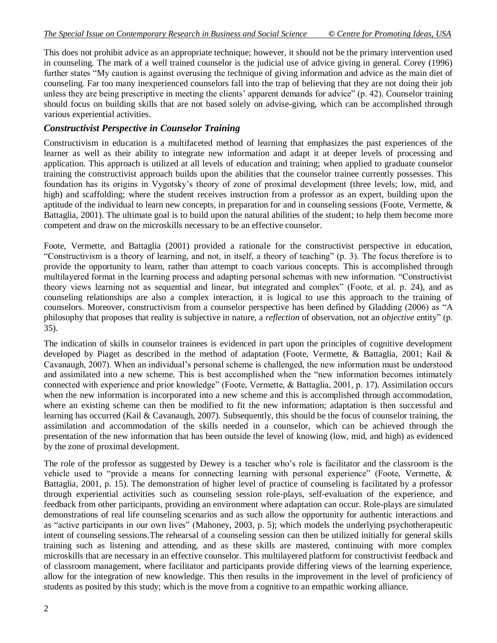This does not prohibit advice as an appropriate technique; however, it should not be the primary intervention used in counseling. The mark of a well trained counselor is the judicial use of advice giving in general. Corey (1996) further states "My caution is against overusing the technique of giving information and advice as the main diet of counseling. Far too many inexperienced counselors fall into the trap of believing that they are not doing their job unless they are being prescriptive in meeting the clients' apparent demands for advice" (p. 42). Counselor training should focus on building skills that are not based solely on advise-giving, which can be accomplished through various experiential activities.

### *Constructivist Perspective in Counselor Training*

Constructivism in education is a multifaceted method of learning that emphasizes the past experiences of the learner as well as their ability to integrate new information and adapt it at deeper levels of processing and application. This approach is utilized at all levels of education and training; when applied to graduate counselor training the constructivist approach builds upon the abilities that the counselor trainee currently possesses. This foundation has its origins in Vygotsky's theory of zone of proximal development (three levels; low, mid, and high) and scaffolding; where the student receives instruction from a professor as an expert, building upon the aptitude of the individual to learn new concepts, in preparation for and in counseling sessions (Foote, Vermette, & Battaglia, 2001). The ultimate goal is to build upon the natural abilities of the student; to help them become more competent and draw on the microskills necessary to be an effective counselor.

Foote, Vermette, and Battaglia (2001) provided a rationale for the constructivist perspective in education, "Constructivism is a theory of learning, and not, in itself, a theory of teaching" (p. 3). The focus therefore is to provide the opportunity to learn, rather than attempt to coach various concepts. This is accomplished through multilayered format in the learning process and adapting personal schemas with new information. "Constructivist theory views learning not as sequential and linear, but integrated and complex" (Foote, et al. p. 24), and as counseling relationships are also a complex interaction, it is logical to use this approach to the training of counselors. Moreover, constructivism from a counselor perspective has been defined by Gladding (2006) as "A philosophy that proposes that reality is subjective in nature, a *reflection* of observation, not an *objective* entity" (p. 35).

The indication of skills in counselor trainees is evidenced in part upon the principles of cognitive development developed by Piaget as described in the method of adaptation (Foote, Vermette, & Battaglia, 2001; Kail & Cavanaugh, 2007). When an individual's personal scheme is challenged, the new information must be understood and assimilated into a new scheme. This is best accomplished when the "new information becomes intimately connected with experience and prior knowledge" (Foote, Vermette, & Battaglia, 2001, p. 17). Assimilation occurs when the new information is incorporated into a new scheme and this is accomplished through accommodation, where an existing scheme can then be modified to fit the new information; adaptation is then successful and learning has occurred (Kail & Cavanaugh, 2007). Subsequently, this should be the focus of counselor training, the assimilation and accommodation of the skills needed in a counselor, which can be achieved through the presentation of the new information that has been outside the level of knowing (low, mid, and high) as evidenced by the zone of proximal development.

The role of the professor as suggested by Dewey is a teacher who's role is facilitator and the classroom is the vehicle used to "provide a means for connecting learning with personal experience" (Foote, Vermette, & Battaglia, 2001, p. 15). The demonstration of higher level of practice of counseling is facilitated by a professor through experiential activities such as counseling session role-plays, self-evaluation of the experience, and feedback from other participants, providing an environment where adaptation can occur. Role-plays are simulated demonstrations of real life counseling scenarios and as such allow the opportunity for authentic interactions and as "active participants in our own lives" (Mahoney, 2003, p. 5); which models the underlying psychotherapeutic intent of counseling sessions.The rehearsal of a counseling session can then be utilized initially for general skills training such as listening and attending, and as these skills are mastered, continuing with more complex microskills that are necessary in an effective counselor. This multilayered platform for constructivist feedback and of classroom management, where facilitator and participants provide differing views of the learning experience, allow for the integration of new knowledge. This then results in the improvement in the level of proficiency of students as posited by this study; which is the move from a cognitive to an empathic working alliance.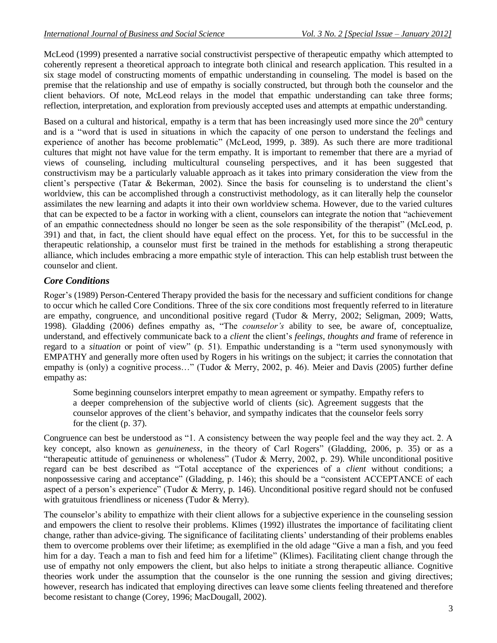McLeod (1999) presented a narrative social constructivist perspective of therapeutic empathy which attempted to coherently represent a theoretical approach to integrate both clinical and research application. This resulted in a six stage model of constructing moments of empathic understanding in counseling. The model is based on the premise that the relationship and use of empathy is socially constructed, but through both the counselor and the client behaviors. Of note, McLeod relays in the model that empathic understanding can take three forms; reflection, interpretation, and exploration from previously accepted uses and attempts at empathic understanding.

Based on a cultural and historical, empathy is a term that has been increasingly used more since the  $20<sup>th</sup>$  century and is a "word that is used in situations in which the capacity of one person to understand the feelings and experience of another has become problematic" (McLeod, 1999, p. 389). As such there are more traditional cultures that might not have value for the term empathy. It is important to remember that there are a myriad of views of counseling, including multicultural counseling perspectives, and it has been suggested that constructivism may be a particularly valuable approach as it takes into primary consideration the view from the client's perspective (Tatar & Bekerman, 2002). Since the basis for counseling is to understand the client's worldview, this can be accomplished through a constructivist methodology, as it can literally help the counselor assimilates the new learning and adapts it into their own worldview schema. However, due to the varied cultures that can be expected to be a factor in working with a client, counselors can integrate the notion that "achievement of an empathic connectedness should no longer be seen as the sole responsibility of the therapist" (McLeod, p. 391) and that, in fact, the client should have equal effect on the process. Yet, for this to be successful in the therapeutic relationship, a counselor must first be trained in the methods for establishing a strong therapeutic alliance, which includes embracing a more empathic style of interaction. This can help establish trust between the counselor and client.

# *Core Conditions*

Roger's (1989) Person-Centered Therapy provided the basis for the necessary and sufficient conditions for change to occur which he called Core Conditions. Three of the six core conditions most frequently referred to in literature are empathy, congruence, and unconditional positive regard (Tudor & Merry, 2002; Seligman, 2009; Watts, 1998). Gladding (2006) defines empathy as, "The *counselor's* ability to see, be aware of, conceptualize, understand, and effectively communicate back to a *client* the client's *feelings, thoughts and* frame of reference in regard to a *situation* or point of view" (p. 51). Empathic understanding is a "term used synonymously with EMPATHY and generally more often used by Rogers in his writings on the subject; it carries the connotation that empathy is (only) a cognitive process..." (Tudor & Merry, 2002, p. 46). Meier and Davis (2005) further define empathy as:

Some beginning counselors interpret empathy to mean agreement or sympathy. Empathy refers to a deeper comprehension of the subjective world of clients (sic). Agreement suggests that the counselor approves of the client's behavior, and sympathy indicates that the counselor feels sorry for the client (p. 37).

Congruence can best be understood as "1. A consistency between the way people feel and the way they act. 2. A key concept, also known as *genuineness*, in the theory of Carl Rogers" (Gladding, 2006, p. 35) or as a "therapeutic attitude of genuineness or wholeness" (Tudor & Merry, 2002, p. 29). While unconditional positive regard can be best described as "Total acceptance of the experiences of a *client* without conditions; a nonpossessive caring and acceptance" (Gladding, p. 146); this should be a "consistent ACCEPTANCE of each aspect of a person's experience" (Tudor & Merry, p. 146). Unconditional positive regard should not be confused with gratuitous friendliness or niceness (Tudor & Merry).

The counselor's ability to empathize with their client allows for a subjective experience in the counseling session and empowers the client to resolve their problems. Klimes (1992) illustrates the importance of facilitating client change, rather than advice-giving. The significance of facilitating clients' understanding of their problems enables them to overcome problems over their lifetime; as exemplified in the old adage "Give a man a fish, and you feed him for a day. Teach a man to fish and feed him for a lifetime" (Klimes). Facilitating client change through the use of empathy not only empowers the client, but also helps to initiate a strong therapeutic alliance. Cognitive theories work under the assumption that the counselor is the one running the session and giving directives; however, research has indicated that employing directives can leave some clients feeling threatened and therefore become resistant to change (Corey, 1996; MacDougall, 2002).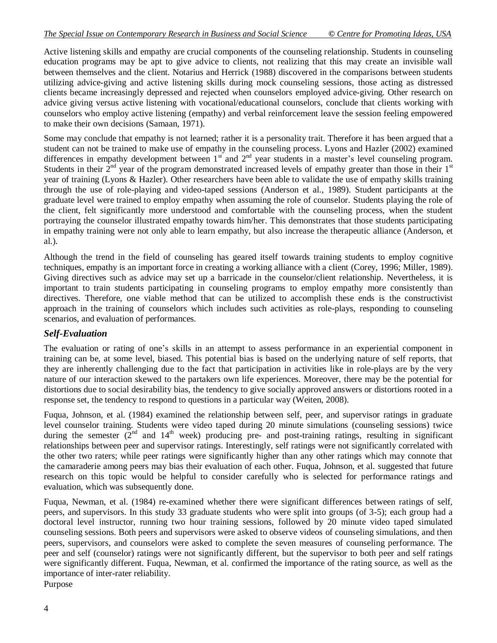Active listening skills and empathy are crucial components of the counseling relationship. Students in counseling education programs may be apt to give advice to clients, not realizing that this may create an invisible wall between themselves and the client. Notarius and Herrick (1988) discovered in the comparisons between students utilizing advice-giving and active listening skills during mock counseling sessions, those acting as distressed clients became increasingly depressed and rejected when counselors employed advice-giving. Other research on advice giving versus active listening with vocational/educational counselors, conclude that clients working with counselors who employ active listening (empathy) and verbal reinforcement leave the session feeling empowered to make their own decisions (Samaan, 1971).

Some may conclude that empathy is not learned; rather it is a personality trait. Therefore it has been argued that a student can not be trained to make use of empathy in the counseling process. Lyons and Hazler (2002) examined differences in empathy development between 1<sup>st</sup> and 2<sup>nd</sup> year students in a master's level counseling program. Students in their  $2<sup>nd</sup>$  year of the program demonstrated increased levels of empathy greater than those in their  $1<sup>st</sup>$ year of training (Lyons & Hazler). Other researchers have been able to validate the use of empathy skills training through the use of role-playing and video-taped sessions (Anderson et al., 1989). Student participants at the graduate level were trained to employ empathy when assuming the role of counselor. Students playing the role of the client, felt significantly more understood and comfortable with the counseling process, when the student portraying the counselor illustrated empathy towards him/her. This demonstrates that those students participating in empathy training were not only able to learn empathy, but also increase the therapeutic alliance (Anderson, et al.).

Although the trend in the field of counseling has geared itself towards training students to employ cognitive techniques, empathy is an important force in creating a working alliance with a client (Corey, 1996; Miller, 1989). Giving directives such as advice may set up a barricade in the counselor/client relationship. Nevertheless, it is important to train students participating in counseling programs to employ empathy more consistently than directives. Therefore, one viable method that can be utilized to accomplish these ends is the constructivist approach in the training of counselors which includes such activities as role-plays, responding to counseling scenarios, and evaluation of performances.

# *Self-Evaluation*

The evaluation or rating of one's skills in an attempt to assess performance in an experiential component in training can be, at some level, biased. This potential bias is based on the underlying nature of self reports, that they are inherently challenging due to the fact that participation in activities like in role-plays are by the very nature of our interaction skewed to the partakers own life experiences. Moreover, there may be the potential for distortions due to social desirability bias, the tendency to give socially approved answers or distortions rooted in a response set, the tendency to respond to questions in a particular way (Weiten, 2008).

Fuqua, Johnson, et al. (1984) examined the relationship between self, peer, and supervisor ratings in graduate level counselor training. Students were video taped during 20 minute simulations (counseling sessions) twice during the semester  $(2^{nd}$  and  $14^{th}$  week) producing pre- and post-training ratings, resulting in significant relationships between peer and supervisor ratings. Interestingly, self ratings were not significantly correlated with the other two raters; while peer ratings were significantly higher than any other ratings which may connote that the camaraderie among peers may bias their evaluation of each other. Fuqua, Johnson, et al. suggested that future research on this topic would be helpful to consider carefully who is selected for performance ratings and evaluation, which was subsequently done.

Fuqua, Newman, et al. (1984) re-examined whether there were significant differences between ratings of self, peers, and supervisors. In this study 33 graduate students who were split into groups (of 3-5); each group had a doctoral level instructor, running two hour training sessions, followed by 20 minute video taped simulated counseling sessions. Both peers and supervisors were asked to observe videos of counseling simulations, and then peers, supervisors, and counselors were asked to complete the seven measures of counseling performance. The peer and self (counselor) ratings were not significantly different, but the supervisor to both peer and self ratings were significantly different. Fuqua, Newman, et al. confirmed the importance of the rating source, as well as the importance of inter-rater reliability. Purpose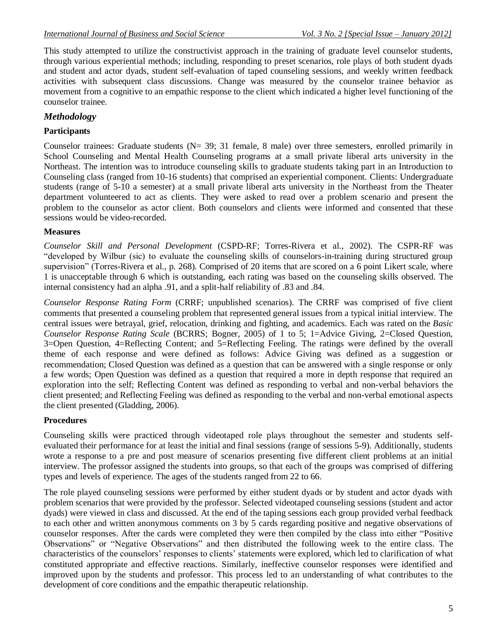This study attempted to utilize the constructivist approach in the training of graduate level counselor students, through various experiential methods; including, responding to preset scenarios, role plays of both student dyads and student and actor dyads, student self-evaluation of taped counseling sessions, and weekly written feedback activities with subsequent class discussions. Change was measured by the counselor trainee behavior as movement from a cognitive to an empathic response to the client which indicated a higher level functioning of the counselor trainee.

# *Methodology*

## **Participants**

Counselor trainees: Graduate students (N= 39; 31 female, 8 male) over three semesters, enrolled primarily in School Counseling and Mental Health Counseling programs at a small private liberal arts university in the Northeast. The intention was to introduce counseling skills to graduate students taking part in an Introduction to Counseling class (ranged from 10-16 students) that comprised an experiential component. Clients: Undergraduate students (range of 5-10 a semester) at a small private liberal arts university in the Northeast from the Theater department volunteered to act as clients. They were asked to read over a problem scenario and present the problem to the counselor as actor client. Both counselors and clients were informed and consented that these sessions would be video-recorded.

### **Measures**

*Counselor Skill and Personal Development* (CSPD-RF; Torres-Rivera et al., 2002). The CSPR-RF was "developed by Wilbur (sic) to evaluate the counseling skills of counselors-in-training during structured group supervision" (Torres-Rivera et al., p. 268). Comprised of 20 items that are scored on a 6 point Likert scale, where 1 is unacceptable through 6 which is outstanding, each rating was based on the counseling skills observed. The internal consistency had an alpha .91, and a split-half reliability of .83 and .84.

*Counselor Response Rating Form* (CRRF; unpublished scenarios). The CRRF was comprised of five client comments that presented a counseling problem that represented general issues from a typical initial interview. The central issues were betrayal, grief, relocation, drinking and fighting, and academics. Each was rated on the *Basic Counselor Response Rating Scale* (BCRRS; Bogner, 2005) of 1 to 5; 1=Advice Giving, 2=Closed Question, 3=Open Question, 4=Reflecting Content; and 5=Reflecting Feeling. The ratings were defined by the overall theme of each response and were defined as follows: Advice Giving was defined as a suggestion or recommendation; Closed Question was defined as a question that can be answered with a single response or only a few words; Open Question was defined as a question that required a more in depth response that required an exploration into the self; Reflecting Content was defined as responding to verbal and non-verbal behaviors the client presented; and Reflecting Feeling was defined as responding to the verbal and non-verbal emotional aspects the client presented (Gladding, 2006).

### **Procedures**

Counseling skills were practiced through videotaped role plays throughout the semester and students selfevaluated their performance for at least the initial and final sessions (range of sessions 5-9). Additionally, students wrote a response to a pre and post measure of scenarios presenting five different client problems at an initial interview. The professor assigned the students into groups, so that each of the groups was comprised of differing types and levels of experience. The ages of the students ranged from 22 to 66.

The role played counseling sessions were performed by either student dyads or by student and actor dyads with problem scenarios that were provided by the professor. Selected videotaped counseling sessions (student and actor dyads) were viewed in class and discussed. At the end of the taping sessions each group provided verbal feedback to each other and written anonymous comments on 3 by 5 cards regarding positive and negative observations of counselor responses. After the cards were completed they were then compiled by the class into either "Positive Observations" or "Negative Observations" and then distributed the following week to the entire class. The characteristics of the counselors' responses to clients' statements were explored, which led to clarification of what constituted appropriate and effective reactions. Similarly, ineffective counselor responses were identified and improved upon by the students and professor. This process led to an understanding of what contributes to the development of core conditions and the empathic therapeutic relationship.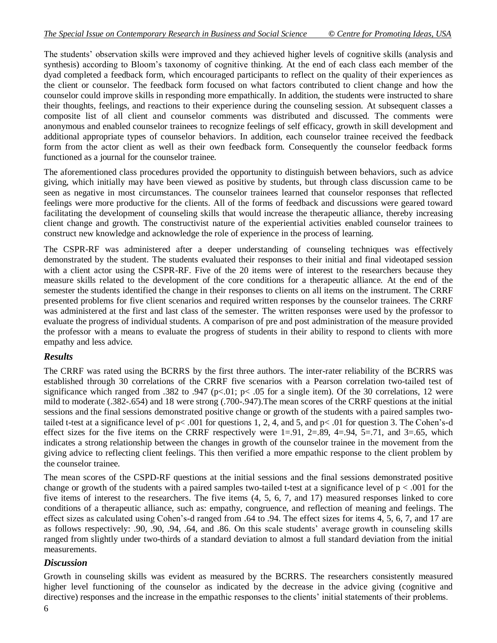The students' observation skills were improved and they achieved higher levels of cognitive skills (analysis and synthesis) according to Bloom's taxonomy of cognitive thinking. At the end of each class each member of the dyad completed a feedback form, which encouraged participants to reflect on the quality of their experiences as the client or counselor. The feedback form focused on what factors contributed to client change and how the counselor could improve skills in responding more empathically. In addition, the students were instructed to share their thoughts, feelings, and reactions to their experience during the counseling session. At subsequent classes a composite list of all client and counselor comments was distributed and discussed. The comments were anonymous and enabled counselor trainees to recognize feelings of self efficacy, growth in skill development and additional appropriate types of counselor behaviors. In addition, each counselor trainee received the feedback form from the actor client as well as their own feedback form. Consequently the counselor feedback forms functioned as a journal for the counselor trainee.

The aforementioned class procedures provided the opportunity to distinguish between behaviors, such as advice giving, which initially may have been viewed as positive by students, but through class discussion came to be seen as negative in most circumstances. The counselor trainees learned that counselor responses that reflected feelings were more productive for the clients. All of the forms of feedback and discussions were geared toward facilitating the development of counseling skills that would increase the therapeutic alliance, thereby increasing client change and growth. The constructivist nature of the experiential activities enabled counselor trainees to construct new knowledge and acknowledge the role of experience in the process of learning.

The CSPR-RF was administered after a deeper understanding of counseling techniques was effectively demonstrated by the student. The students evaluated their responses to their initial and final videotaped session with a client actor using the CSPR-RF. Five of the 20 items were of interest to the researchers because they measure skills related to the development of the core conditions for a therapeutic alliance. At the end of the semester the students identified the change in their responses to clients on all items on the instrument. The CRRF presented problems for five client scenarios and required written responses by the counselor trainees. The CRRF was administered at the first and last class of the semester. The written responses were used by the professor to evaluate the progress of individual students. A comparison of pre and post administration of the measure provided the professor with a means to evaluate the progress of students in their ability to respond to clients with more empathy and less advice.

### *Results*

The CRRF was rated using the BCRRS by the first three authors. The inter-rater reliability of the BCRRS was established through 30 correlations of the CRRF five scenarios with a Pearson correlation two-tailed test of significance which ranged from .382 to .947 (p<.01; p< .05 for a single item). Of the 30 correlations, 12 were mild to moderate (.382-.654) and 18 were strong (.700-.947).The mean scores of the CRRF questions at the initial sessions and the final sessions demonstrated positive change or growth of the students with a paired samples twotailed t-test at a significance level of  $p < .001$  for questions 1, 2, 4, and 5, and  $p < .01$  for question 3. The Cohen's-d effect sizes for the five items on the CRRF respectively were  $1=0.91$ ,  $2=0.89$ ,  $4=0.94$ ,  $5=0.71$ , and  $3=0.65$ , which indicates a strong relationship between the changes in growth of the counselor trainee in the movement from the giving advice to reflecting client feelings. This then verified a more empathic response to the client problem by the counselor trainee.

The mean scores of the CSPD-RF questions at the initial sessions and the final sessions demonstrated positive change or growth of the students with a paired samples two-tailed t-test at a significance level of  $p < .001$  for the five items of interest to the researchers. The five items (4, 5, 6, 7, and 17) measured responses linked to core conditions of a therapeutic alliance, such as: empathy, congruence, and reflection of meaning and feelings. The effect sizes as calculated using Cohen's-d ranged from .64 to .94. The effect sizes for items 4, 5, 6, 7, and 17 are as follows respectively: .90, .90, .94, .64, and .86. On this scale students' average growth in counseling skills ranged from slightly under two-thirds of a standard deviation to almost a full standard deviation from the initial measurements.

### *Discussion*

Growth in counseling skills was evident as measured by the BCRRS. The researchers consistently measured higher level functioning of the counselor as indicated by the decrease in the advice giving (cognitive and directive) responses and the increase in the empathic responses to the clients' initial statements of their problems.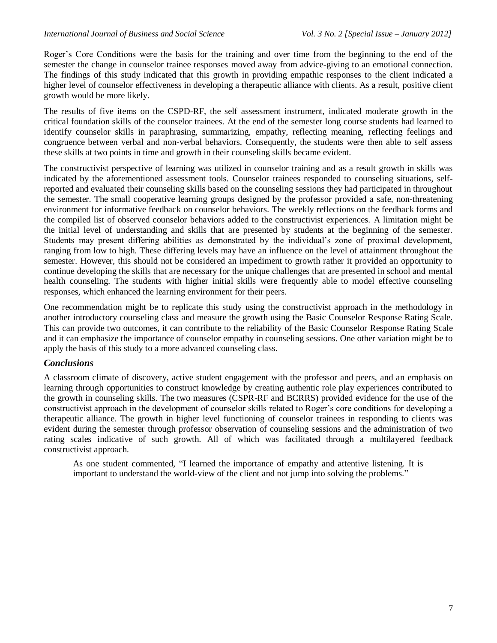Roger's Core Conditions were the basis for the training and over time from the beginning to the end of the semester the change in counselor trainee responses moved away from advice-giving to an emotional connection. The findings of this study indicated that this growth in providing empathic responses to the client indicated a higher level of counselor effectiveness in developing a therapeutic alliance with clients. As a result, positive client growth would be more likely.

The results of five items on the CSPD-RF, the self assessment instrument, indicated moderate growth in the critical foundation skills of the counselor trainees. At the end of the semester long course students had learned to identify counselor skills in paraphrasing, summarizing, empathy, reflecting meaning, reflecting feelings and congruence between verbal and non-verbal behaviors. Consequently, the students were then able to self assess these skills at two points in time and growth in their counseling skills became evident.

The constructivist perspective of learning was utilized in counselor training and as a result growth in skills was indicated by the aforementioned assessment tools. Counselor trainees responded to counseling situations, selfreported and evaluated their counseling skills based on the counseling sessions they had participated in throughout the semester. The small cooperative learning groups designed by the professor provided a safe, non-threatening environment for informative feedback on counselor behaviors. The weekly reflections on the feedback forms and the compiled list of observed counselor behaviors added to the constructivist experiences. A limitation might be the initial level of understanding and skills that are presented by students at the beginning of the semester. Students may present differing abilities as demonstrated by the individual's zone of proximal development, ranging from low to high. These differing levels may have an influence on the level of attainment throughout the semester. However, this should not be considered an impediment to growth rather it provided an opportunity to continue developing the skills that are necessary for the unique challenges that are presented in school and mental health counseling. The students with higher initial skills were frequently able to model effective counseling responses, which enhanced the learning environment for their peers.

One recommendation might be to replicate this study using the constructivist approach in the methodology in another introductory counseling class and measure the growth using the Basic Counselor Response Rating Scale. This can provide two outcomes, it can contribute to the reliability of the Basic Counselor Response Rating Scale and it can emphasize the importance of counselor empathy in counseling sessions. One other variation might be to apply the basis of this study to a more advanced counseling class.

### *Conclusions*

A classroom climate of discovery, active student engagement with the professor and peers, and an emphasis on learning through opportunities to construct knowledge by creating authentic role play experiences contributed to the growth in counseling skills. The two measures (CSPR-RF and BCRRS) provided evidence for the use of the constructivist approach in the development of counselor skills related to Roger's core conditions for developing a therapeutic alliance. The growth in higher level functioning of counselor trainees in responding to clients was evident during the semester through professor observation of counseling sessions and the administration of two rating scales indicative of such growth. All of which was facilitated through a multilayered feedback constructivist approach.

As one student commented, "I learned the importance of empathy and attentive listening. It is important to understand the world-view of the client and not jump into solving the problems."